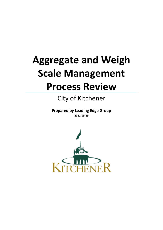# **Aggregate and Weigh Scale Management Process Review**

# City of Kitchener

**Prepared by Leading Edge Group 2021-09-29** 

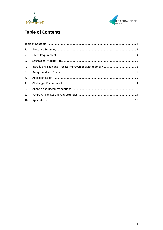



# <span id="page-1-0"></span>**Table of Contents**

| 1.  |  |
|-----|--|
| 2.  |  |
| 3.  |  |
| 4.  |  |
| 5.  |  |
| 6.  |  |
| 7.  |  |
| 8.  |  |
| 9.  |  |
| 10. |  |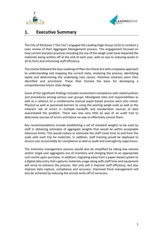



## <span id="page-2-0"></span>**1. Executive Summary**

The City of Kitchener ("the City") engaged the Leading Edge Group (LEG) to conduct a Lean review of their Aggregate Management process. This engagement focused on how current and past practices including the use of the weigh scale have impacted the materials being written off at the end of each year, with an eye to reducing waste in all its form and enhancing staff efficiency.

The review followed the lean roadmap of Plan-Do-Check-Act with a stepwise approach to understanding and mapping the current state, analyzing the process, identifying waste and determining the underlying root causes. Potential solutions were then identified and prioritized. These then formed the basis for developing a comprehensive future state design.

Some of the significant findings included inconsistent compliance with stated policies and procedures among various user groups. Misaligned roles and responsibilities as well as a reliance on a cumbersome manual paper-based process were also noted. Physical as well as perceived barriers to using the existing weigh scale as well as the inherent risk of errors in multiple handoffs and handwritten sources of data exacerbated the problem. There was also very little by way of an audit trail to determine sources of errors and hence no way to effectively correct them.

Key recommendations include establishing a set of standard weights to be used by staff in obtaining estimates of aggregate weights that would be within acceptable tolerance limits. This would reduce or eliminate the staff travel time to and from the scale with each trip for materials. In addition, staff training would be deployed to ensure user accountably for compliance as well as audit and oversight by supervisors.

The inventory management process would also be simplified by taking low volume and/or single user aggregates out of inventory and charging them to an appropriate cost centre upon purchase. In addition, migrating away from a paper-based system to a digital data entry that captures materials usage along with staff time and equipment will serve to enhance the process. Not only will it improve staff efficiency, but also improve data capture, compliance and accuracy. Improved fiscal management will also be achieved by reducing the annual write-off of variances.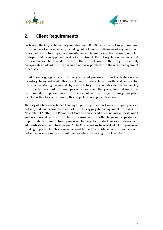



# <span id="page-3-0"></span>**2. Client Requirements**

Each year, the City of Kitchener generates over 50,000 metric tons of surplus material in the course of service delivery including but not limited to those involving watermain breaks, infrastructure repair and maintenance. The material is then reused, recycled or dispatched to an approved facility for treatment. Recent regulation demands that this excess soil be traced. However, the current use of the weigh scale only encapsulates parts of the process and is not incorporated with the work management processes.

In addition, aggregates are not being ascribed precisely to work activities nor is inventory being relieved. This results in considerable write-offs and substantial discrepancies during the annual physical inventory. This invariably leads to an inability to properly track costs for user pay activities. Over the years, Internal Audit has recommended improvements in this area but with no project manager in place coupled with a lack of resources, this project has not gained traction.

The City of Kitchener retained Leading Edge Group to embark on a third-party service delivery and modernization review of the City's aggregate management processes. On November 17, 2020, the Province of Ontario announced a second intake for its Audit and Accountability Fund. This fund is earmarked to "offer large municipalities an opportunity to benefit from provincial funding to conduct service delivery and administrative expenditure reviews". The City is seeking to avail itself of this provincial funding opportunity. This review will enable the City of Kitchener to streamline and deliver service in a more efficient manner while preserving front line jobs.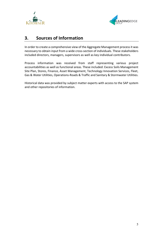



# <span id="page-4-0"></span>**3. Sources of Information**

In order to create a comprehensive view of the Aggregate Management process it was necessary to obtain input from a wide cross-section of individuals. These stakeholders included directors, managers, supervisors as well as key individual contributors.

Process information was received from staff representing various project accountabilities as well as functional areas. These included: Excess Soils Management Site Plan, Stores, Finance, Asset Management, Technology Innovation Services, Fleet, Gas & Water Utilities, Operations-Roads & Traffic and Sanitary & Stormwater Utilities.

Historical data was provided by subject matter experts with access to the SAP system and other repositories of information.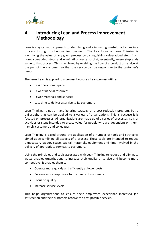



# <span id="page-5-0"></span>**4. Introducing Lean and Process Improvement Methodology**

Lean is a systematic approach to identifying and eliminating wasteful activities in a process through continuous improvement. The key focus of Lean Thinking is identifying the value of any given process by distinguishing value-added steps from non-value-added steps and eliminating waste so that, eventually, every step adds value to that process. This is achieved by enabling the flow of a product or service at the pull of the customer, so that the service can be responsive to the customer's needs.

The term 'Lean' is applied to a process because a Lean process utilizes:

- Less operational space
- Fewer financial resources
- Fewer materials and services
- Less time to deliver a service to its customers

Lean Thinking is not a manufacturing strategy or a cost-reduction program, but a philosophy that can be applied to a variety of organizations. This is because it is focused on processes. All organizations are made up of a series of processes, sets of activities or steps intended to create value for people who are dependent on them, namely customers and colleagues.

Lean Thinking is based around the application of a number of tools and strategies aimed at streamlining all aspects of a process. These tools are intended to reduce unnecessary labour, space, capital, materials, equipment and time involved in the delivery of appropriate services to customers.

Using the principles and tools associated with Lean Thinking to reduce and eliminate waste enables organizations to increase their quality of service and become more competitive. It enables them to:

- Operate more quickly and efficiently at lower costs
- Become more responsive to the needs of customers
- Focus on quality
- Increase service levels

This helps organizations to ensure their employees experience increased job satisfaction and their customers receive the best possible service.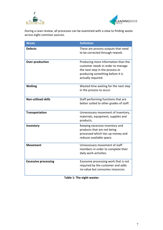



During a Lean review, all processes can be examined with a view to finding waste across eight common sources.

| <b>Waste</b>                | <b>Definition</b>                                                                                                                                                     |
|-----------------------------|-----------------------------------------------------------------------------------------------------------------------------------------------------------------------|
| <b>Defects</b>              | These are process outputs that need<br>to be corrected through rework.                                                                                                |
| Over-production             | Producing more information than the<br>customer needs in order to manage<br>the next step in the process or<br>producing something before it is<br>actually required. |
| <b>Waiting</b>              | Wasted time waiting for the next step<br>in the process to occur.                                                                                                     |
| <b>Non-utilized skills</b>  | Staff performing functions that are<br>better suited to other grades of staff.                                                                                        |
| <b>Transportation</b>       | Unnecessary movement of inventory,<br>materials, equipment, supplies and<br>products.                                                                                 |
| Inventory                   | Keeping excessive inventory and<br>products that are not being<br>processed which ties up money and<br>reduces available space.                                       |
| <b>Movement</b>             | Unnecessary movement of staff<br>members in order to complete their<br>daily work activities.                                                                         |
| <b>Excessive processing</b> | Excessive processing work that is not<br>required by the customer and adds<br>no value but consumes resources.                                                        |

**Table 1: The eight wastes**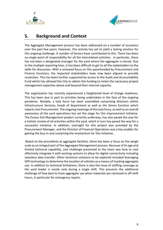



## <span id="page-7-0"></span>**5. Background and Context**

The Aggregate Management process has been addressed on a number of occasions over the past few years. However, this activity has yet to yield a lasting solution for this ongoing challenge. A number of factors have contributed to this. There has been no single point of responsibility for all the interrelated activities. In particular, there has not been a designated manager for the yard where the aggregate is stored. Due to the multiple reporting lines, it has been difficult to get to all the stakeholders to the table for discussion. With a renewed focus on this spearheaded by Procurement and Finance functions, the impacted stakeholders have now been aligned to provide resolution. This has been further supported by access to the Audit and Accountability Fund which has allowed the City to obtain the funding to retain the necessary project management expertise above and beyond their internal capacity.

The organization has recently experienced a heightened level of change readiness. This has been due in part to activities being undertaken in the face of the ongoing pandemic. Notably, a task force has been assembled comprising directors within Infrastructure Services, heads of department as well as the Stores function which reports into Procurement. The ongoing meetings of thistask force, as well as an overall awareness of the yard operations has set the stage for this improvement initiative. The Excess Soil Management project currently underway, has also paved the way for a holistic review of all activities within the yard, which in turn has paved the way for a successful initiative. In addition, oversight for this project was provided by the Procurement Manager, and the Director of Financial Operations was a key enabler for gaining the buy-in and sustaining the momentum for this initiative.

Based on the precedents at aggregate facilities, there has been a focus on the weigh scale as an integral part of the Aggregate Management process. Because of its age and limited technical capability, one challenge presented to the team was how to cost effectively integrate it with existing systems to allow for digital connectivity including seamless data transfer. Other technical solutions to be explored included leveraging GPS technology to determine the location of vehicles as a means of tracking aggregate use. In addition to technical limitations, there is also the issue of staffing coverage as the yard loader is onsite only during a single shift. This presents the additional challenge of how best to track aggregate use when materials are retrieved in off-shift hours, in particular for emergency repairs.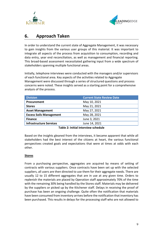



# <span id="page-8-0"></span>**6. Approach Taken**

In order to understand the current state of Aggregate Management, it was necessary to gain insights from the various user groups of this material. It was important to integrate all aspects of the process from acquisition to consumption, recording and data entry, year end reconciliation, as well as management and financial reporting. This broad-based assessment necessitated gathering input from a wide spectrum of stakeholders spanning multiple functional areas.

Initially, telephone interviews were conducted with the managers and/or supervisors of each functional area. Key aspects of the activities related to Aggregate Management were discussed through a series of structured questions and process concerns were noted. These insights served as a starting point for a comprehensive analysis of the process.

| <b>Division</b>                | <b>Current State Review Date</b> |
|--------------------------------|----------------------------------|
| Procurement                    | May 10, 2021                     |
| <b>Stores</b>                  | May 21, 2021                     |
| <b>Asset Management</b>        | May 27, 2021                     |
| <b>Excess Soils Management</b> | May 28, 2021                     |
| <b>Finance</b>                 | June 3, 2021                     |
| <b>Infrastructure Services</b> | June 14, 2021                    |

#### **Table 2: Initial interview schedule**

Based on the insights gleaned from the interviews, it became apparent that while all stakeholders had the best interest of the citizens at heart, the various functional perspectives created goals and expectations that were at times at odds with each other.

#### **Stores**

From a purchasing perspective, aggregates are acquired by means of setting of contracts with various suppliers. Once contracts have been set up with the selected suppliers, all users are then directed to use them for their aggregate needs. There are usually 12 to 15 different aggregates that are in use at any given time. Orders to replenish the materials are placed by Operation staff approximately 70% of the time with the remaining 30% being handled by the Stores staff. Materials may be delivered by the suppliers or picked up by the Kitchener staff. Delays in receiving the proof of purchase has been an ongoing challenge. Quite often the notification that materials have been consumed from inventory arrives before the notification that inventory has been purchased. This results in delays for the processing staff who are not allowed to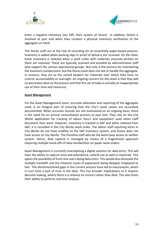



enter a negative inventory into SAP, their system of record. In addition, Stores is involved at year end when they conduct a physical inventory verification of the aggregate on hand.

The Stores staff are at the hub of recording for an essentially paper-based process. Inventory is added when packing slips or proof of delivery are received. On the other hand, inventory is relieved when a work order with materials amounts written on them are received. These are typically scanned and emailed by administrative staff who support the various operational groups. Not only is the process for maintaining the inventory cumbersome, but the Stores team does not see or handle the aggregate. In essence, they act as the record keepers for materials over which they have no control, accountability or oversight. An ongoing concern for this team is that they add no perceived value to the process and that this set of tasks is actually an inappropriate use of their time and resources.

#### **Asset Management**

For the Asset Management team, accurate allocation and reporting of the aggregate used, is an integral part of ensuring that the City's asset values are accurately documented. When accurate records are not maintained on an ongoing basis, there is the need for an annual reconciliation process at year end. They rely on the City Works application for tracking of labour hours and equipment used when staff document their work. However, inventory is tracked in SAP and when relieved from SAP, it is recorded in the City Works work order. The admin staff inputting items in City Works do not have visibility to the SAP inventory system, and Stores does not have access to City Works. The frontline staff who do the work have access to neither system. Hence, data capture is managed by means of a fragmented approach requiring multiple hand-offs of data handwritten on paper work orders.

Asset Management is currently investigating a digital solution for data entry. This will have the ability to capture time and attendance, vehicle use as well as materials. This opens the possibility of front-line users doing data entry. This would also eliminate the multiple handoffs and the inherent issues of paperwork being delayed, misplaced or lost. The aforementioned gaps in the current process have led to inaccuracies, which in turn fuels a lack of trust in the data. This has broader implications as it impacts decision making, where there is a reliance on instinct rather than data. This also limits their ability to perform real time analysis.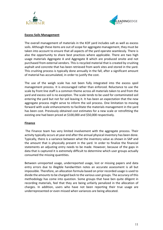



#### **Excess Soils Management**

The overall management of materials in the KOF yard includes salt as well as excess soils. Although these items are out of scope for aggregate management, they must be taken into account to ensure that all aspects of the yard operate seamlessly. There is also the opportunity to share best practices where applicable. There are two high usage materials Aggregate A and Aggregate B which are produced onsite and not purchased from external vendors. This is recycled material that is created by crushing asphalt and concrete that has been retrieved from work sites and stored in the yard. This crushing process is typically done annually in the fall, after a significant amount of material has accumulated, in order to justify the cost.

The use of the weigh scale has not been fully integrated into the excess spoil management process. It is encouraged rather than enforced. Reluctance to use the scale by front line staff is a common theme across all materials taken to and from the yard and excess soil is no exception. The scale tends to be used for contaminated soil entering the yard but not for soil leaving it. It has been an expectation that the new aggregate process might serve to inform the soil process. One limitation to moving forward with scale enhancements to facilitate the materials management in the yard has been cost. Previously obtained cost estimates for a new scale or retrofitting the existing one had been priced at \$100,000 and \$50,000 respectively.

#### **Finance**

The Finance team has very limited involvement with the aggregate process. Their activity typically occurs at year end after the annual physical inventory has been done. Typically, there is a variance between what the inventory value as shown in SAP and the amount that is physically present in the yard. In order to finalize the financial statements an adjusting entry needs to be made. However, because of the gaps in data that is captured it is extremely difficult to determine which user groups actually consumed the missing quantities.

Between unreported usage, underreported usage, lost or missing papers and data entry errors due to illegible handwritten notes an accurate assessment is all but impossible. Therefore, an allocation formula based on prior recorded usage is used to divide the amounts to be charged back to the various user groups. The accuracy of this methodology has come into question. Some groups that have ben quite diligent in recording materials, feel that they are being unfairly penalized in the allocation of charges. In addition, users who have not been reporting their true usage are underrepresented or even missed when variances are being allocated.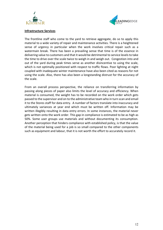



#### **Infrastructure Services**

The frontline staff who come to the yard to retrieve aggregate, do so to apply this material to a wide variety of repair and maintenance activities. There is a heightened sense of urgency in particular when the work involves critical repair such as a watermain break. There has been a prevailing sense that time is of the essence in delivering value to customers and that it would be detrimental to service levels to take the time to drive over the scale twice to weigh in and weigh out. Congestion into and out of the yard during peak times serve as another disincentive to using the scale, which is not optimally positioned with respect to traffic flows. Poor lighting at night coupled with inadequate winter maintenance have also been cited as reasons for not using the scale. Also, there has also been a longstanding distrust for the accuracy of the scale.

From an overall process perspective, the reliance on transferring information by passing along pieces of paper also limits the level of accuracy and efficiency. When material is consumed, the weight has to be recorded on the work order which gets passed to the supervisor and on to the administrative team who in turn scan and email it to the Stores staff for data entry. A number of factors translate into inaccuracy and ultimately variances at year end which must be written off. Information may be written illegibly resulting in data entry errors. In some instances, the material never gets written onto the work order. This gap in compliance is estimated to be as high as 50%. Some user groups use materials and without documenting its consumption. Another perception that hinders compliance with established policy, is that the value of the material being used for a job is so small compared to the other components such as equipment and labour, that it is not worth the effort to accurately record it.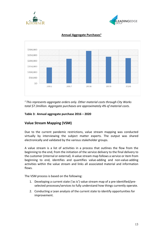





#### **Annual Aggregate Purchases1**

*<sup>1</sup> This represents aggregate orders only. Other material costs through City Works total \$7.3million. Aggregate purchases are approximately 4% of material costs.*

#### **Table 3: Annual aggregate purchase 2016 – 2020**

#### **Value Stream Mapping (VSM)**

Due to the current pandemic restrictions, value stream mapping was conducted virtually by interviewing the subject matter experts. The output was shared electronically and validated by the various stakeholder groups.

A value stream is a list of activities in a process that outlines the flow from the beginning to the end, from the initiation of the service delivery to the final delivery to the customer (internal or external). A value stream map follows a service or item from beginning to end, identifies and quantifies value-adding and non-value-adding activities within the value stream and links all associated material and information flows.

The VSM process is based on the following:

- 1. Developing a current state ('as is') value stream map of a pre-identified/preselected processes/services to fully understand how things currently operate.
- 2. Conducting a Lean analysis of the current state to identify opportunities for improvement.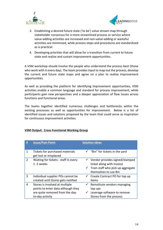



- 3. Establishing a desired future state ('to be') value stream map through stakeholder consensus for a more streamlined process or service where value-adding activities are increased and non-value-adding or wasteful activities are minimized, while process steps and procedures are standardized as is practical.
- 4. Developing priorities that will allow for a transition from current to future state and realize and sustain improvement opportunities.

A VSM workshop should involve the people who understand the process best (those who work with it every day). The team provides input to map out the process, develop the current and future state maps and agree on a plan to realize improvement opportunities.

As well as providing the platform for identifying improvement opportunities, VSM activities enable a common language and standard for process improvement, while participants gain new perspectives and a deeper appreciation of flow issues across functions and functional areas.

The teams together identified numerous challenges and bottlenecks within the existing processes as well as opportunities for improvement. Below is a list of identified issues and solutions proposed by the team that could serve as inspiration for continuous improvement activities.

#### **VSM Output: Cross Functional Working Group**

| #              | <b>Issue/Pain Point</b>                                                                                                    | <b>Solution Ideas</b>                                                                                                                               |
|----------------|----------------------------------------------------------------------------------------------------------------------------|-----------------------------------------------------------------------------------------------------------------------------------------------------|
| 1              | Tickets for purchased materials<br>get lost or misplaced                                                                   | $\checkmark$ "Bin" for tickets in the yard                                                                                                          |
| $\overline{2}$ | Waiting for tickets - staff in every<br>1-2 weeks                                                                          | $\checkmark$ Vendor provides signed/stamped<br>ticket along with invoice<br>$\checkmark$ Train staff who pick up aggregate<br>themselves to use Bin |
| 3              | Individual supplier POs cannot be<br>created until Stores gets notified                                                    | $\checkmark$ Create Contract PO for top up<br>items                                                                                                 |
| 4              | Stores is involved at multiple<br>points to enter data although they<br>are quite removed from the day-<br>to-day activity | $\checkmark$ Reinstitute vendors managing<br>top ups<br>Leverage software to remove<br>Stores from the process                                      |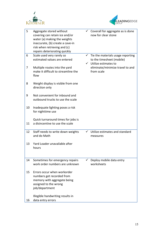



| 5  | Aggregate stored without<br>covering can retain ice and/or<br>water (a) making the weights<br>inaccurate, (b) create a cave-in<br>risk when retrieving and (c)<br>repairs deteriorating quickly |              | Coverall for aggregate as is done<br>now for clear stone                            |
|----|-------------------------------------------------------------------------------------------------------------------------------------------------------------------------------------------------|--------------|-------------------------------------------------------------------------------------|
| 6  | Scale used very rarely so<br>estimated values are entered                                                                                                                                       |              | $\checkmark$ Tie the materials usage reporting<br>to the timesheet (mobile)         |
| 7  | Multiple routes into the yard<br>make it difficult to streamline the<br>flow                                                                                                                    |              | $\checkmark$ Utilize estimates to<br>eliminate/minimize travel to and<br>from scale |
| 8  | Weight display is visible from one<br>direction only                                                                                                                                            |              |                                                                                     |
| 9  | Not convenient for inbound and<br>outbound trucks to use the scale                                                                                                                              |              |                                                                                     |
| 10 | Inadequate lighting poses a risk<br>for nighttime use                                                                                                                                           |              |                                                                                     |
| 11 | Quick turnaround times for jobs is<br>a disincentive to use the scale                                                                                                                           |              |                                                                                     |
| 12 | Staff needs to write down weights<br>and do Math                                                                                                                                                |              | Utilize estimates and standard<br>measures                                          |
| 13 | Yard Loader unavailable after<br>hours                                                                                                                                                          |              |                                                                                     |
| 14 | Sometimes for emergency repairs<br>work order numbers are unknown                                                                                                                               | $\checkmark$ | Deploy mobile data entry<br>worksheets                                              |
| 15 | Errors occur when workorder<br>numbers get recorded from<br>memory with aggregate being<br>assigned to the wrong<br>job/department                                                              |              |                                                                                     |
| 16 | Illegible handwriting results in<br>data entry errors                                                                                                                                           |              |                                                                                     |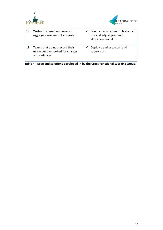



| 17 | Write-offs based on prorated<br>aggregate use are not accurate                      | $\checkmark$ Conduct assessment of historical<br>use and adjust year-end<br>allocation model |
|----|-------------------------------------------------------------------------------------|----------------------------------------------------------------------------------------------|
| 18 | Teams that do not record their<br>usage get overlooked for charges<br>and variances | Deploy training to staff and<br>supervisors                                                  |

**Table 4: Issue and solutions developed in by the Cross Functional Working Group.**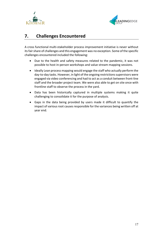



# <span id="page-16-0"></span>**7. Challenges Encountered**

A cross functional multi-stakeholder process improvement initiative is never without its fair share of challenges and this engagement was no exception. Some of the specific challenges encountered included the following:

- Due to the health and safety measures related to the pandemic, it was not possible to host in-person workshops and value stream mapping sessions.
- Ideally Lean process mapping would engage the staff who actually perform the day-to-day tasks. However, in light of the ongoing restrictions supervisors were engaged via video conferencing and had to act as a conduit between front-line staff and the broader project team. We were also able to get on site once with frontline staff to observe the process in the yard.
- Data has been historically captured in multiple systems making it quite challenging to consolidate it for the purpose of analysis.
- Gaps in the data being provided by users made it difficult to quantify the impact of various root causes responsible for the variances being written off at year end.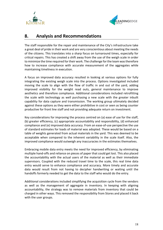



## <span id="page-17-0"></span>**8. Analysis and Recommendations**

The staff responsible for the repair and maintenance of the City's infrastructure take a great deal of pride in their work and are very conscientious about meeting the needs of the citizens. This translates into a sharp focus on turnaround times, especially for critical repairs. This has created a shift away from the use of the weigh scale in order to minimize the time required for their work. The challenge for the team was therefore how to increase compliance with accurate measurement of the aggregates while maintaining timeliness in execution.

A focus on improved data accuracy resulted in looking at various options for fully integrating the existing weigh scale into the process. Options investigated included moving the scale to align with the flow of traffic in and out of the yard, adding improved visibility for the weight read outs, general maintenance to improve aesthetics and therefore compliance. Additional considerations included retrofitting the scale with technology as well purchasing a new scale with the greater inbuilt capability for data capture and transmission. The working group ultimately decided against these options as they were either prohibitive in cost or seen as being counter productive for front line staff and not providing adequate return on investment.

Key considerations for improving the process centred on (a) ease of use for the staff, (b) greater efficiency, (c) appropriate accountability and responsibility, (d) enhanced compliance and (e) improved data accuracy. From an ease-of-use perspective the use of standard estimates for loads of material was adopted. These would be based on a table of weights generated from actual materials in the yard. This was deemed to be acceptable when compared to the inherent variability in the scale itself. Also, the improved compliance would outweigh any inaccuracies in the estimates themselves.

Embracing mobile data entry meets the need for improved efficiency, by eliminating multiple hand-offs and reliance on pieces of paper that could get lost. This also placed the accountability with the actual users of the material as well as their immediate supervisors. Coupled with the reduced travel time to the scale, this real time data entry would serve to enhance compliance and accuracy. More timely and accurate data would result from not having to decipher handwriting or waiting until the handoffs formerly needed to get the data to the staff who would do the entry.

Additional considerations included simplifying the acquisition cycle from the vendors as well as the management of aggregate in inventory. In keeping with aligning accountability, the strategy was to remove materials from inventory that could be charged in other ways. This removed the responsibility from Stores and placed it back with the user groups.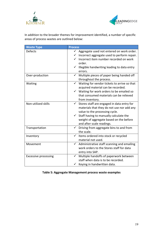



In addition to the broader themes for improvement identified, a number of specific areas of process wastes are outlined below:

| <b>Waste Type</b>           | <b>Process</b>                                                                                                                                                                                                                                                            |
|-----------------------------|---------------------------------------------------------------------------------------------------------------------------------------------------------------------------------------------------------------------------------------------------------------------------|
| <b>Defects</b>              | $\checkmark$ Aggregate used not entered on work order.<br>Incorrect aggregate used to perform repair.<br>Incorrect item number recorded on work<br>order.<br>$\checkmark$<br>Illegible handwriting leading to data entry<br>errors.                                       |
| Over-production             | $\checkmark$<br>Multiple pieces of paper being handed off<br>throughout the process.                                                                                                                                                                                      |
| Waiting                     | $\checkmark$<br>Waiting for vendor tickets to arrive so that<br>acquired material can be recorded.<br>$\checkmark$ Waiting for work orders to be emailed so<br>that consumed materials can be relieved<br>from inventory.                                                 |
| Non-utilized skills         | Stores staff are engaged in data entry for<br>$\checkmark$<br>materials that they do not use nor add any<br>value to the processing cycle.<br>$\checkmark$ Staff having to manually calculate the<br>weight of aggregate based on the before<br>and after scale readings. |
| Transportation              | $\checkmark$<br>Driving from aggregate bins to and from<br>the scale.                                                                                                                                                                                                     |
| Inventory                   | $\checkmark$<br>Items ordered into stock or recycled<br>material not used.                                                                                                                                                                                                |
| Movement                    | Administrative staff scanning and emailing<br>$\checkmark$<br>work orders to the Stores staff for data<br>entry into SAP.                                                                                                                                                 |
| <b>Excessive processing</b> | $\checkmark$<br>Multiple handoffs of paperwork between<br>staff when data is to be recorded.<br>Keying in handwritten data.<br>$\checkmark$                                                                                                                               |

**Table 5: Aggregate Management process waste examples**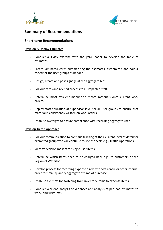



## **Summary of Recommendations**

#### **Short-term Recommendations**

#### **Develop & Deploy Estimates**

- $\checkmark$  Conduct a 1-day exercise with the yard loader to develop the table of estimates.
- $\checkmark$  Create laminated cards summarizing the estimates, customized and colour coded for the user groups as needed.
- $\checkmark$  Design, create and post signage at the aggregate bins.
- $\checkmark$  Roll out cards and revised process to all impacted staff.
- $\checkmark$  Determine most efficient manner to record materials onto current work orders.
- $\checkmark$  Deplov staff education at supervisor level for all user groups to ensure that material is consistently written on work orders.
- $\checkmark$  Establish oversight to ensure compliance with recording aggregate used.

#### **Develop Tiered Approach**

- $\checkmark$  Roll out communication to continue tracking at their current level of detail for exempted group who will continue to use the scale e.g., Traffic Operations.
- $\checkmark$  Identify decision makers for single user items
- $\checkmark$  Determine which items need to be charged back e.g., to customers or the Region of Waterloo.
- $\checkmark$  Develop process for recording expense directly to cost centre or other internal order for small quantity aggregate at time of purchase.
- $\checkmark$  Establish a cut-off for switching from inventory items to expense items.
- $\checkmark$  Conduct year end analysis of variances and analysis of per load estimates to work, and write-offs.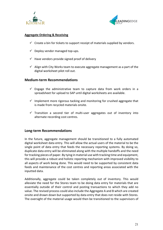



#### **Aggregate Ordering & Receiving**

- $\checkmark$  Create a bin for tickets to support receipt of materials supplied by vendors.
- $\checkmark$  Deploy vendor managed top-ups.
- $\checkmark$  Have vendors provide signed proof of delivery
- $\checkmark$  Align with City Works team to execute aggregate management as a part of the digital worksheet pilot roll out.

#### **Medium-term Recommendations**

- $\checkmark$  Engage the administrative team to capture data from work orders in a spreadsheet for upload to SAP until digital worksheets are available.
- $\checkmark$  Implement more rigorous tacking and monitoring for crushed aggregate that is made from recycled materials onsite.
- $\checkmark$  Transition a second tier of multi-user aggregates out of inventory into alternate recording cost centres.

#### **Long-term Recommendations**

In the future, aggregate management should be transitioned to a fully automated digital worksheet data entry. This will allow the actual users of the material to be the single point of data entry that feeds the necessary reporting systems. By doing so, duplicate data entry will be eliminated along with the multiple handoffs and the need for tracking pieces of paper. By tying in material use with tracking time and equipment, this will provide a robust and holistic reporting mechanism with improved visibility to all aspects of work being done. This would need to be supported by consistent data feeds and maintenance of the cost centres and reporting areas associated with the inputted data.

Additionally, aggregate could be taken completely out of inventory. This would alleviate the need for the Stores team to be doing data entry for materials that are essentially outside of their control and posting transactions to which they add no value. The revised process could also include the Aggregate A and B which are created onsite and drawn down but supported by data entry that does not reside with Stores. The oversight of the material usage would then be transitioned to the supervisors of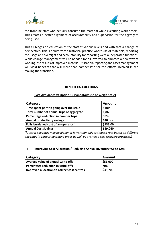



the frontline staff who actually consume the material while executing work orders. This creates a better alignment of accountability and supervision for the aggregate being used.

This all hinges on education of the staff at various levels and with that a change of perspective. This is a shift from a historical practice where use of materials, reporting the usage and oversight and accountability for reporting were all separated functions. While change management will be needed for all involved to embrace a new way of working, the results of improved material utilization, reporting and asset management will yield benefits that will more than compensate for the efforts involved in the making the transition.

#### **BENEFIT CALCULATIONS**

#### **I. Cost Avoidance vs Option 1 (Mandatory use of Weigh Scale)**

| Category                                        | <b>Amount</b>  |
|-------------------------------------------------|----------------|
| Time spent per trip going over the scale        | 5 min          |
| Total number of annual trips of aggregate       | 1,860          |
| Percentage reduction in number trips            | 90%            |
| <b>Annual productivity savings</b>              | <b>140 hrs</b> |
| Fully burdened cost of an operator <sup>2</sup> | \$136.00       |
| <b>Annual Cost Savings</b>                      | \$19,040       |

*( <sup>2</sup> Actual pay rates may be higher or lower than this estimated rate based on different pay rates in various operating areas as well as overhead cost recovery practices.)*

#### **II. Improving Cost Allocation / Reducing Annual Inventory Write-Offs**

| <b>Category</b>                             | <b>Amount</b> |
|---------------------------------------------|---------------|
| Average value of annual write-offs          | \$51,000      |
| Percentage reduction in write-offs          | 70%           |
| Improved allocation to correct cost centres | \$35,700      |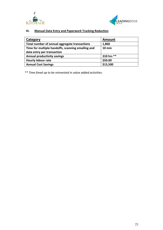



#### **III. Manual Data Entry and Paperwork Tracking Reduction**

| Category                                          | <b>Amount</b> |
|---------------------------------------------------|---------------|
| Total number of annual aggregate transactions     | 1,860         |
| Time for multiple handoffs, scanning emailing and | $10$ min      |
| data entry per transaction                        |               |
| <b>Annual productivity savings</b>                | 310 hrs **    |
| <b>Hourly labour rate</b>                         | \$50.00       |
| <b>Annual Cost Savings</b>                        | \$15,500      |

*\*\* Time freed up to be reinvested in value added activities.*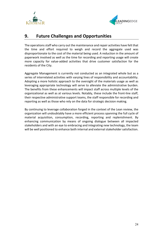



## <span id="page-23-0"></span>**9. Future Challenges and Opportunities**

The operations staff who carry out the maintenance and repair activities have felt that the time and effort required to weigh and record the aggregate used was disproportionate to the cost of the material being used. A reduction in the amount of paperwork involved as well as the time for recording and reporting usage will create more capacity for value-added activities that drive customer satisfaction for the residents of the City.

Aggregate Management is currently not conducted as an integrated whole but as a series of interrelated activities with varying lines of responsibility and accountability. Adopting a more holistic approach to the oversight of the materials usage as well as leveraging appropriate technology will serve to alleviate the administrative burden. The benefits from these enhancements will impact staff across multiple levels of the organizational as well as at various levels. Notably, these include the front-line staff, their respective administrative support teams, the staff responsible for recording and reporting as well as those who rely on the data for strategic decision making.

By continuing to leverage collaboration forged in the context of the Lean review, the organization will undoubtably have a more efficient process spanning the full cycle of material acquisition, consumption, recording, reporting and replenishment. By enhancing communication by means of ongoing dialogue between all impacted stakeholders and with an eye to embracing and integrating new technology, the team will be well positioned to enhance both internal and external stakeholder satisfaction.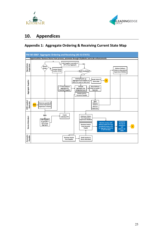



# <span id="page-24-0"></span>**10. Appendices**

### **Appendix 1: Aggregate Ordering & Receiving Current State Map**

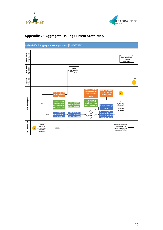



#### **PM-WI-006F- Aggregate Issuing Process (AS-IS-STATE)**  Operations<br>Supervisor **COK Employees Operations Supervisor COK Loader/ Operator Support Services Receives Usage work order sheets From COK Staff & Supervisors** COK Loader/ **Loads Aggregate for COK Employee** Support<br>Services  $\sqrt{2}$ **2**  $\overline{\phantom{a}}$ **Estimate weight of Drives over scale to Aggregate based on ensure truck total ABypass weigh scale experience and weight within MTO and go directly to record on work order limits Loader sheets** COK Employees **Drives back over Drive over weigh weigh scale and End of shift Go to Aggregate 70% scale and record records final weight Area and Request X Estimate weight and record on work order gives work order starting weight on on work order sheets Qty of Aggregates work order sheets sheets sheets to Supervisor N Obtain weight from Go directly to**  Go to **COK Loader? <sup>Y</sup> loader's built in scale 0-5% Area & Self-serve X dedicated/rented and record weight on front loader Qty of Aggregates work order sheets COK Supervisors COK Supervisors Assigns staff to do work which requires Aggregates Receives Usage work order sheets and brings to Operations Supervisors Mailbox 25-30% 1**

## **Appendix 2: Aggregate Issuing Current State Map**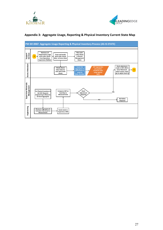



#### **Appendix 3: Aggregate Usage, Reporting & Physical Inventory Current State Map**

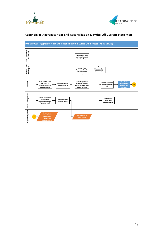





#### **Appendix 4: Aggregate Year End Reconciliation & Write-Off Current State Map**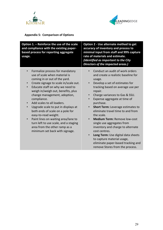



## **Appendix 5: Comparison of Options**

| Option 1. - Reinforce the use of the scale<br>and compliance with the existing paper-<br>based process for reporting aggregate<br>usage. | Option 2 - Use alternate method to get<br>accuracy of inventory and process to<br>minimal input from staff and 99% capture<br>rate of materials and estimate.<br>(Identified as important to the City<br>Directors of the impacted areas.) |  |
|------------------------------------------------------------------------------------------------------------------------------------------|--------------------------------------------------------------------------------------------------------------------------------------------------------------------------------------------------------------------------------------------|--|
| Formalize process for mandatory                                                                                                          | Conduct an audit of work orders                                                                                                                                                                                                            |  |
| $\bullet$                                                                                                                                | and create a realistic baseline for                                                                                                                                                                                                        |  |
| use of scale when material is                                                                                                            | usage.                                                                                                                                                                                                                                     |  |
| coming in or out of the yard.                                                                                                            | Develop a set of estimates for                                                                                                                                                                                                             |  |
| Create signage to scale in/scale out.                                                                                                    | tracking based on average use per                                                                                                                                                                                                          |  |
| $\bullet$                                                                                                                                | repair.                                                                                                                                                                                                                                    |  |
| Educate staff on why we need to                                                                                                          | Charge variances to Gas & SSU.                                                                                                                                                                                                             |  |
| $\bullet$                                                                                                                                | Expense aggregate at time of                                                                                                                                                                                                               |  |
| weigh in/weigh out, benefits, plus                                                                                                       | purchase.                                                                                                                                                                                                                                  |  |
| change management, adoption,                                                                                                             | <b>Short Term: Leverage estimates to</b>                                                                                                                                                                                                   |  |
| compliance.                                                                                                                              | eliminate travel time to and from                                                                                                                                                                                                          |  |
| Add scales to all loaders.                                                                                                               | the scale.                                                                                                                                                                                                                                 |  |
| $\bullet$                                                                                                                                | <b>Medium Term: Remove low-cost</b>                                                                                                                                                                                                        |  |
| Upgrade scale to put in displays at                                                                                                      | $\bullet$                                                                                                                                                                                                                                  |  |
| $\bullet$                                                                                                                                | single use aggregates from                                                                                                                                                                                                                 |  |
| both ends of scale on a pole for                                                                                                         | inventory and charge to alternate                                                                                                                                                                                                          |  |
| easy-to-read weight.                                                                                                                     | cost centres.                                                                                                                                                                                                                              |  |
| Paint lines on waiting area/lane to                                                                                                      | Long Term: Use digital data sheets                                                                                                                                                                                                         |  |
| $\bullet$                                                                                                                                | $\bullet$                                                                                                                                                                                                                                  |  |
| turn left to use scale, and a staging                                                                                                    | to capture material usage,                                                                                                                                                                                                                 |  |
| area from the other ramp as a                                                                                                            | eliminate paper-based tracking and                                                                                                                                                                                                         |  |
| minimum set back with signage.                                                                                                           | remove Stores from the process.                                                                                                                                                                                                            |  |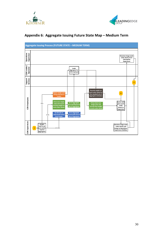



## **Appendix 6: Aggregate Issuing Future State Map – Medium Term**